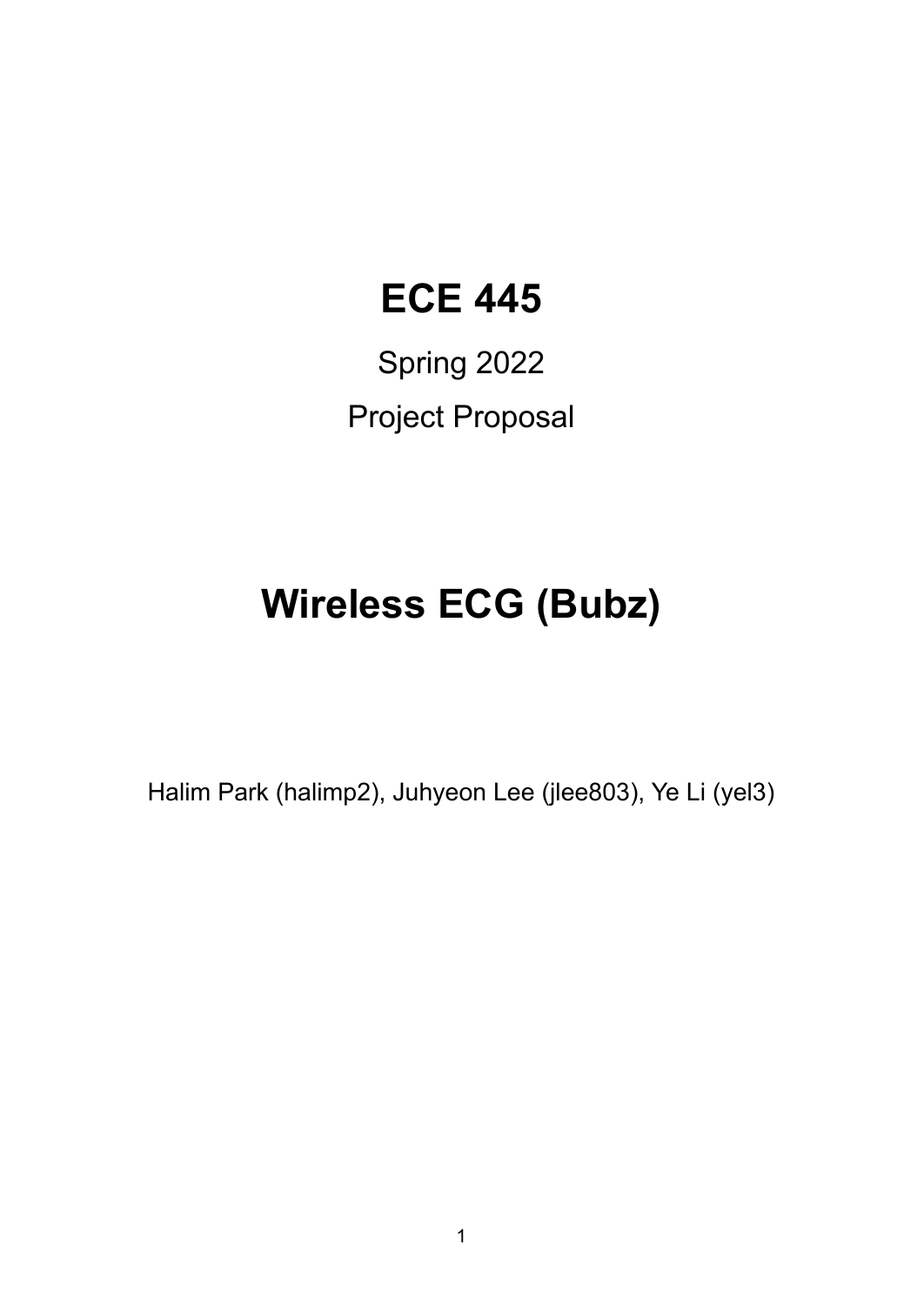## **ECE 445**

Spring 2022 Project Proposal

# **Wireless ECG (Bubz)**

Halim Park (halimp2), Juhyeon Lee (jlee803), Ye Li (yel3)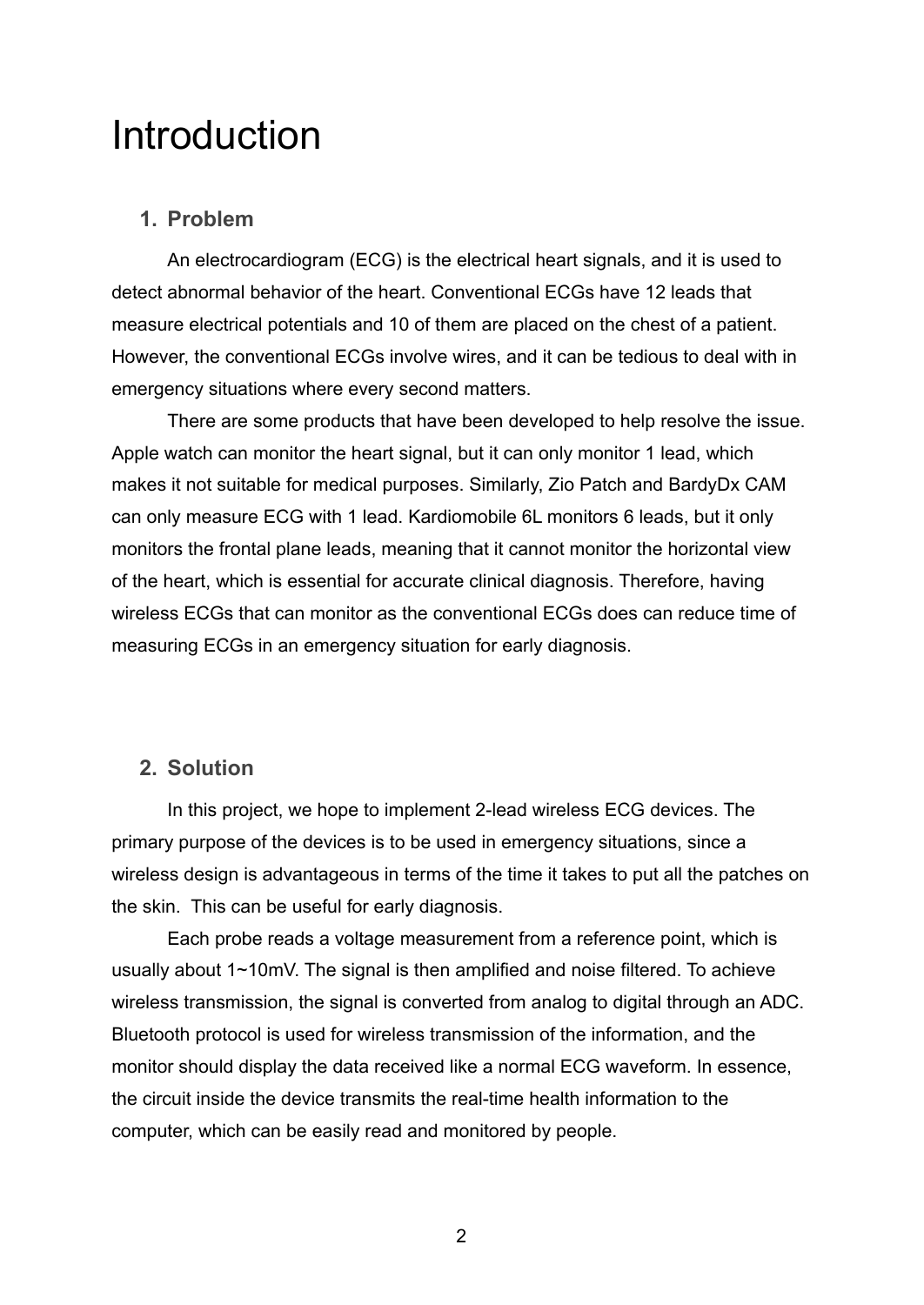## Introduction

#### **1. Problem**

An electrocardiogram (ECG) is the electrical heart signals, and it is used to detect abnormal behavior of the heart. Conventional ECGs have 12 leads that measure electrical potentials and 10 of them are placed on the chest of a patient. However, the conventional ECGs involve wires, and it can be tedious to deal with in emergency situations where every second matters.

There are some products that have been developed to help resolve the issue. Apple watch can monitor the heart signal, but it can only monitor 1 lead, which makes it not suitable for medical purposes. Similarly, Zio Patch and BardyDx CAM can only measure ECG with 1 lead. Kardiomobile 6L monitors 6 leads, but it only monitors the frontal plane leads, meaning that it cannot monitor the horizontal view of the heart, which is essential for accurate clinical diagnosis. Therefore, having wireless ECGs that can monitor as the conventional ECGs does can reduce time of measuring ECGs in an emergency situation for early diagnosis.

#### **2. Solution**

In this project, we hope to implement 2-lead wireless ECG devices. The primary purpose of the devices is to be used in emergency situations, since a wireless design is advantageous in terms of the time it takes to put all the patches on the skin. This can be useful for early diagnosis.

Each probe reads a voltage measurement from a reference point, which is usually about 1~10mV. The signal is then amplified and noise filtered. To achieve wireless transmission, the signal is converted from analog to digital through an ADC. Bluetooth protocol is used for wireless transmission of the information, and the monitor should display the data received like a normal ECG waveform. In essence, the circuit inside the device transmits the real-time health information to the computer, which can be easily read and monitored by people.

2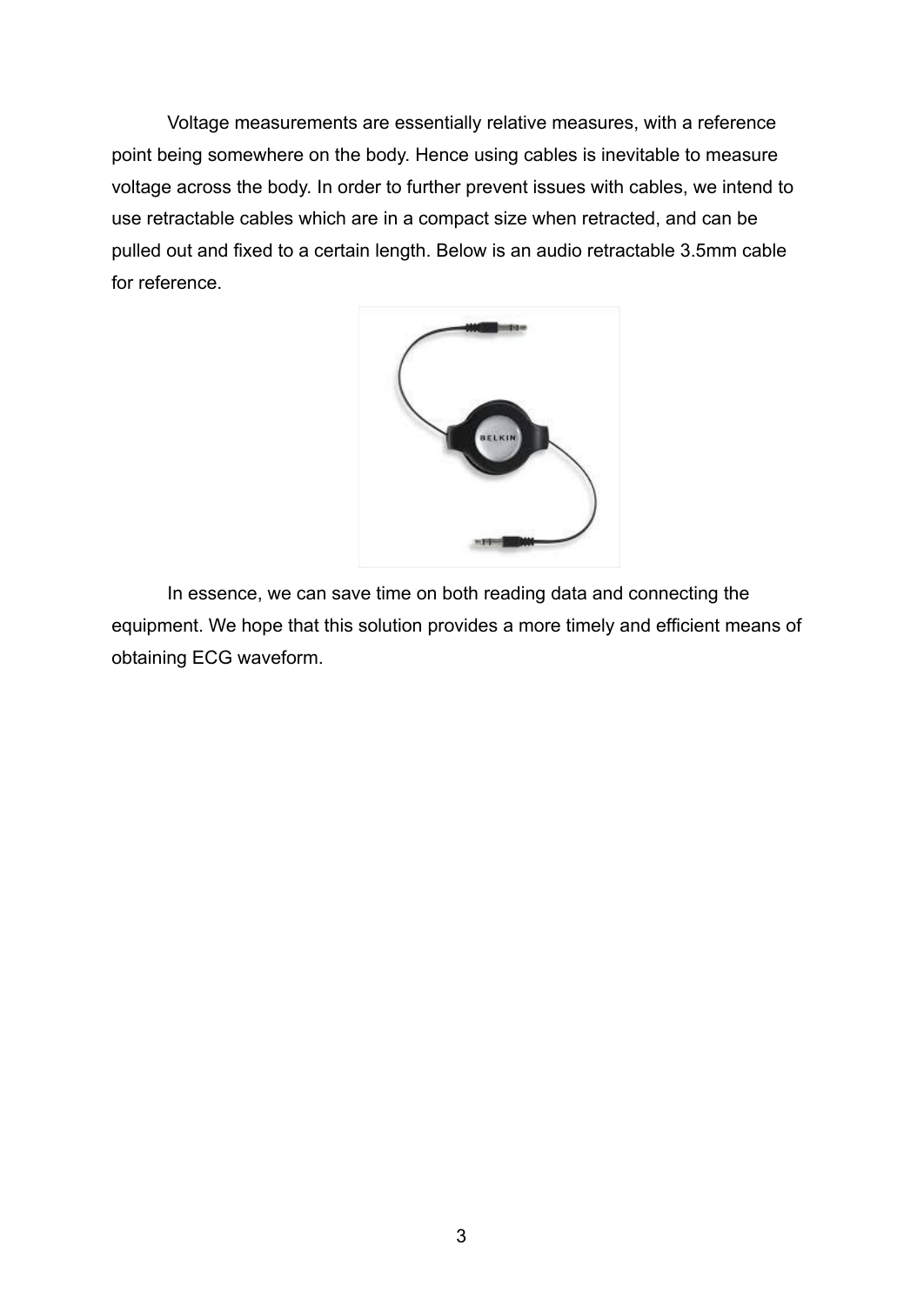Voltage measurements are essentially relative measures, with a reference point being somewhere on the body. Hence using cables is inevitable to measure voltage across the body. In order to further prevent issues with cables, we intend to use retractable cables which are in a compact size when retracted, and can be pulled out and fixed to a certain length. Below is an audio retractable 3.5mm cable for reference.



In essence, we can save time on both reading data and connecting the equipment. We hope that this solution provides a more timely and efficient means of obtaining ECG waveform.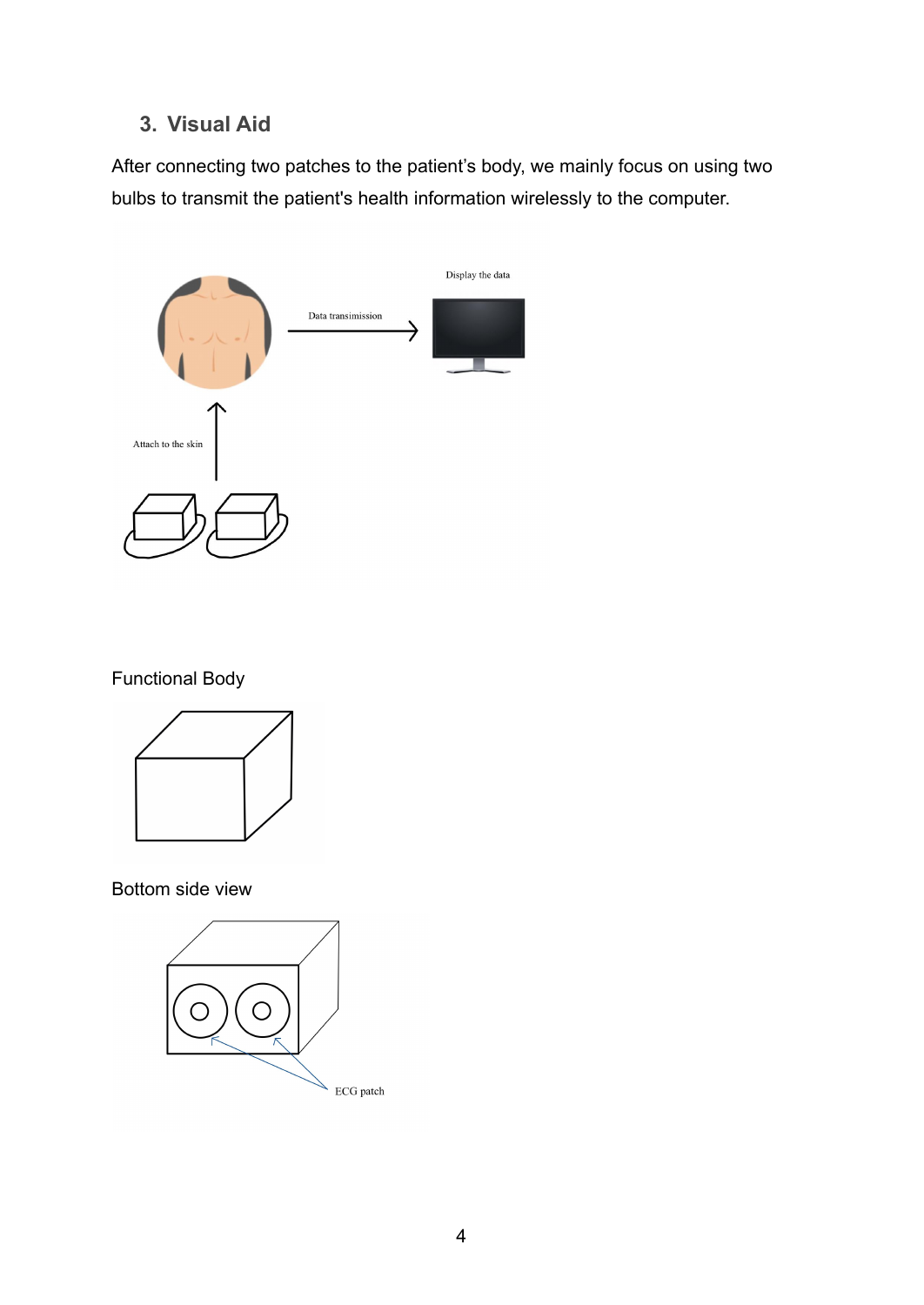#### **3. Visual Aid**

After connecting two patches to the patient's body, we mainly focus on using two bulbs to transmit the patient's health information wirelessly to the computer.



Functional Body



Bottom side view

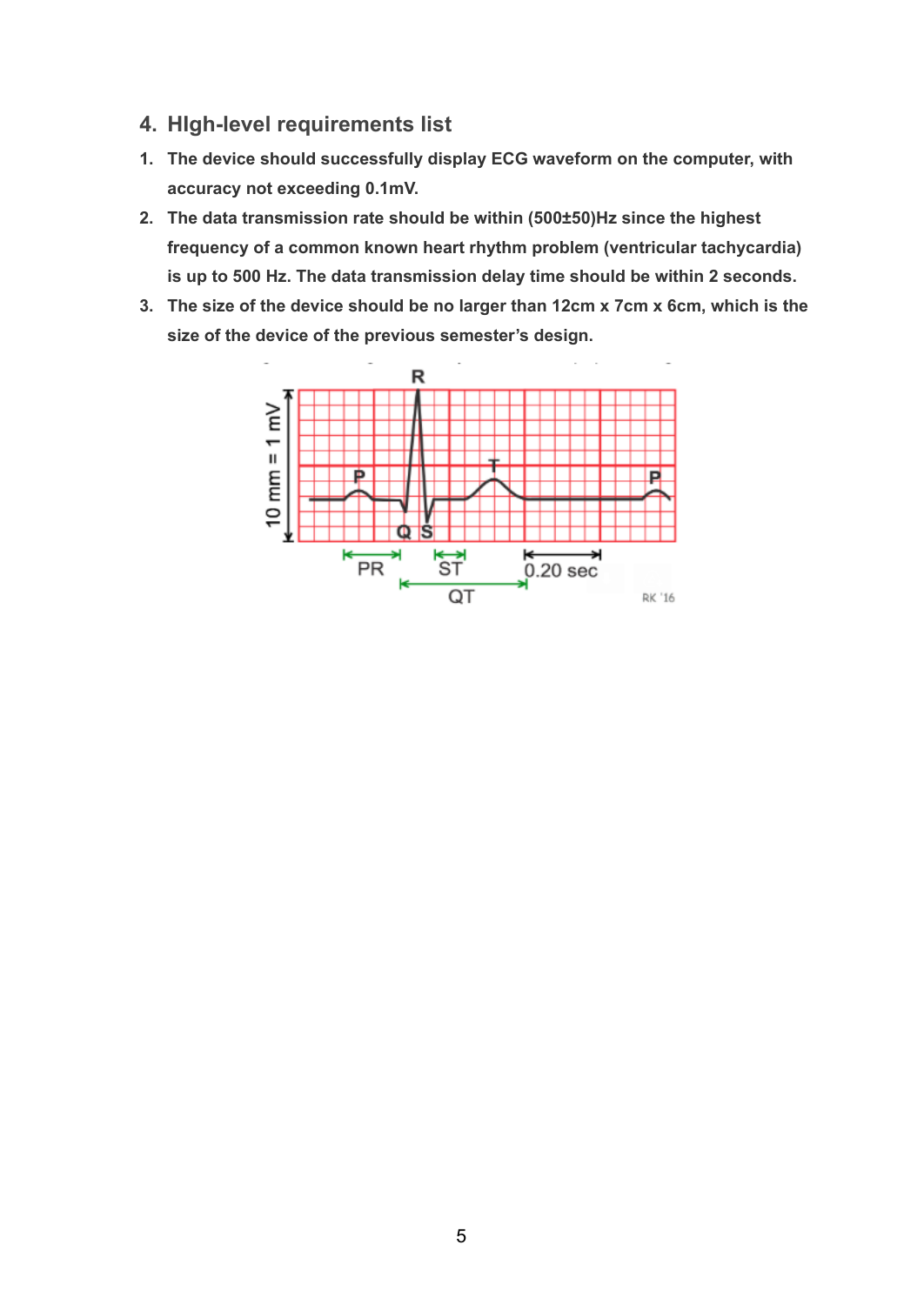- **4. HIgh-level requirements list**
- **1. The device should successfully display ECG waveform on the computer, with accuracy not exceeding 0.1mV.**
- **2. The data transmission rate should be within (500±50)Hz since the highest frequency of a common known heart rhythm problem (ventricular tachycardia) is up to 500 Hz. The data transmission delay time should be within 2 seconds.**
- **3. The size of the device should be no larger than 12cm x 7cm x 6cm, which is the size of the device of the previous semester's design.**

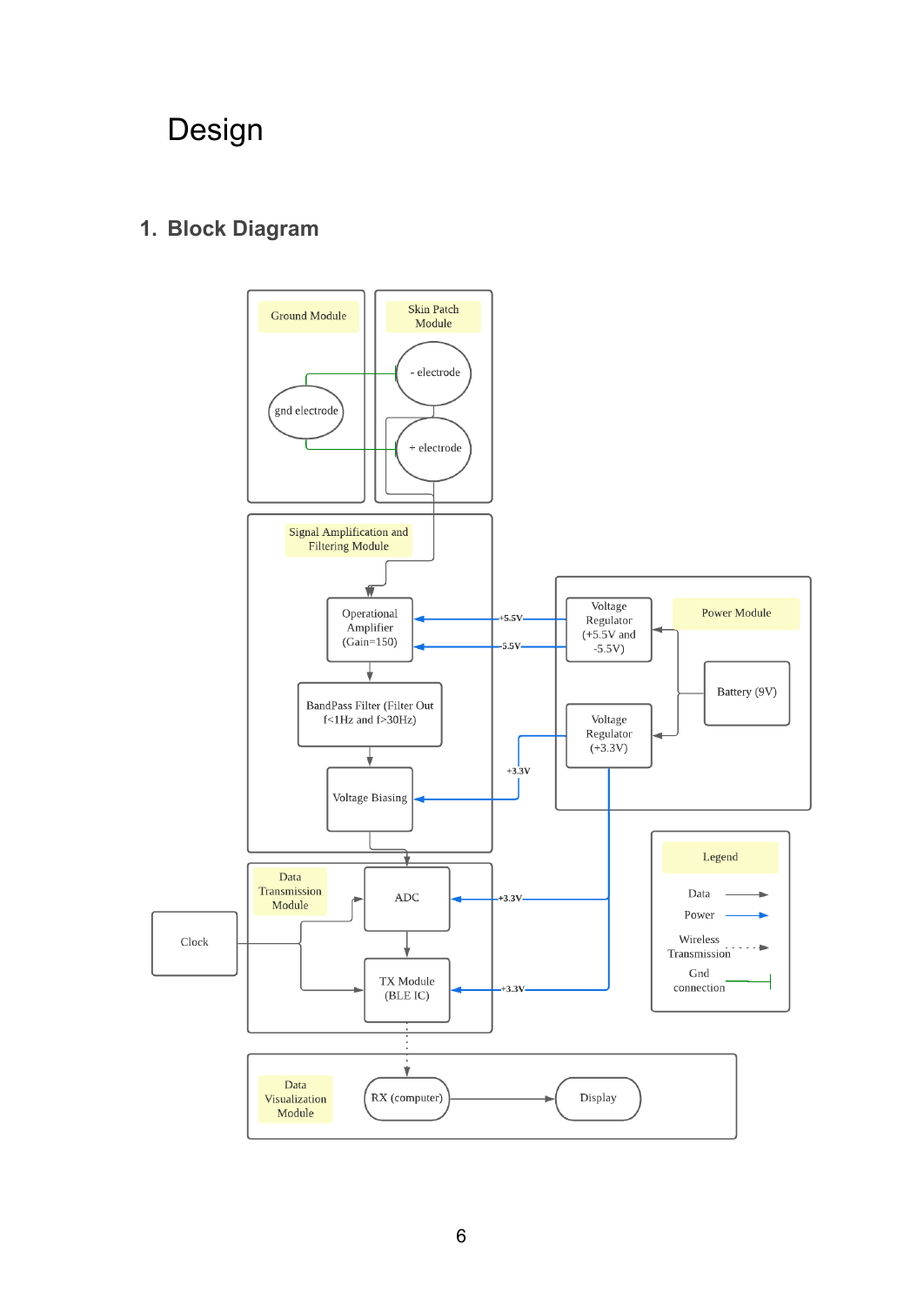## Design

#### **1. Block Diagram**

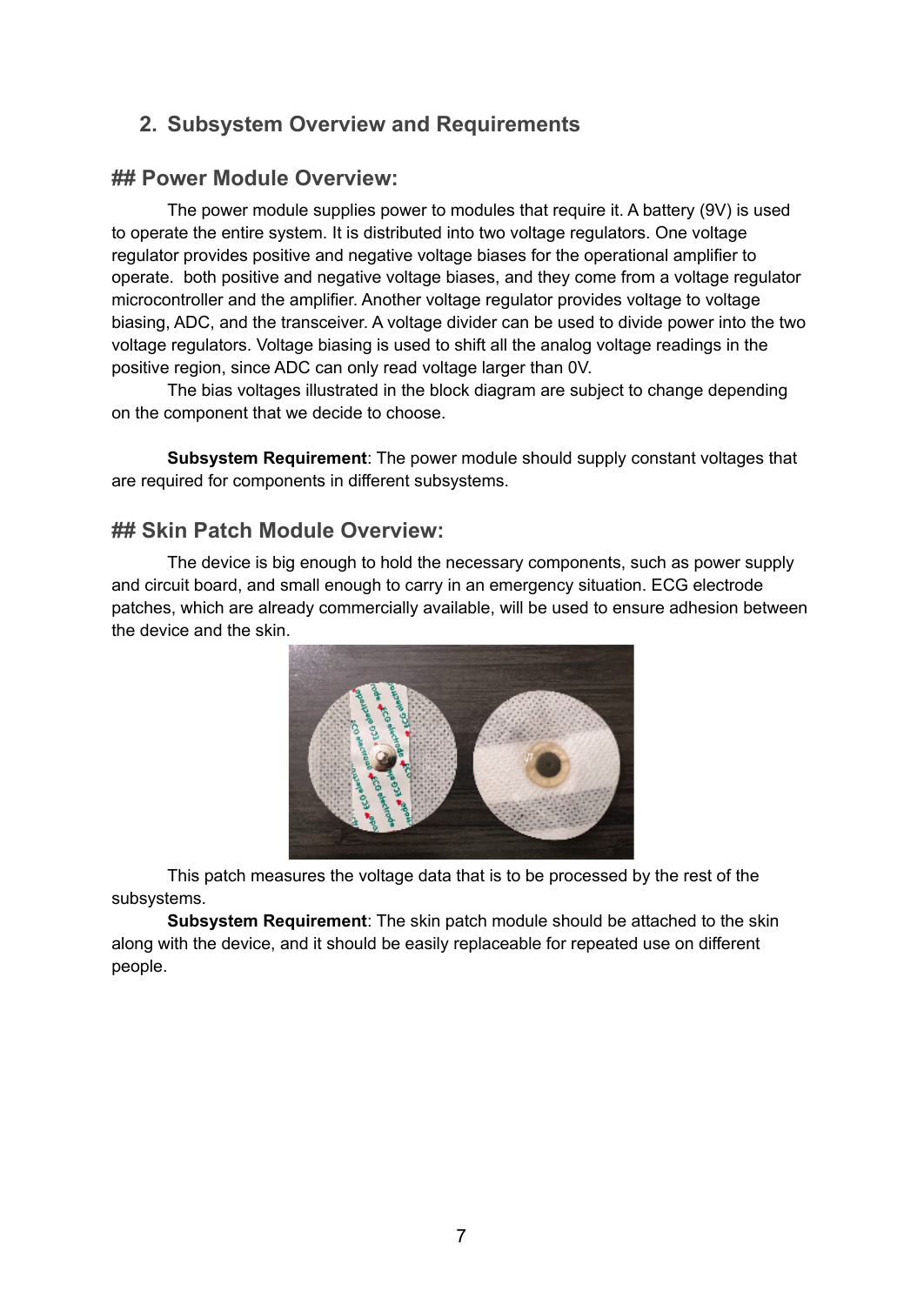#### **2. Subsystem Overview and Requirements**

#### **## Power Module Overview:**

The power module supplies power to modules that require it. A battery (9V) is used to operate the entire system. It is distributed into two voltage regulators. One voltage regulator provides positive and negative voltage biases for the operational amplifier to operate. both positive and negative voltage biases, and they come from a voltage regulator microcontroller and the amplifier. Another voltage regulator provides voltage to voltage biasing, ADC, and the transceiver. A voltage divider can be used to divide power into the two voltage regulators. Voltage biasing is used to shift all the analog voltage readings in the positive region, since ADC can only read voltage larger than 0V.

The bias voltages illustrated in the block diagram are subject to change depending on the component that we decide to choose.

**Subsystem Requirement**: The power module should supply constant voltages that are required for components in different subsystems.

#### **## Skin Patch Module Overview:**

The device is big enough to hold the necessary components, such as power supply and circuit board, and small enough to carry in an emergency situation. ECG electrode patches, which are already commercially available, will be used to ensure adhesion between the device and the skin.



This patch measures the voltage data that is to be processed by the rest of the subsystems.

**Subsystem Requirement**: The skin patch module should be attached to the skin along with the device, and it should be easily replaceable for repeated use on different people.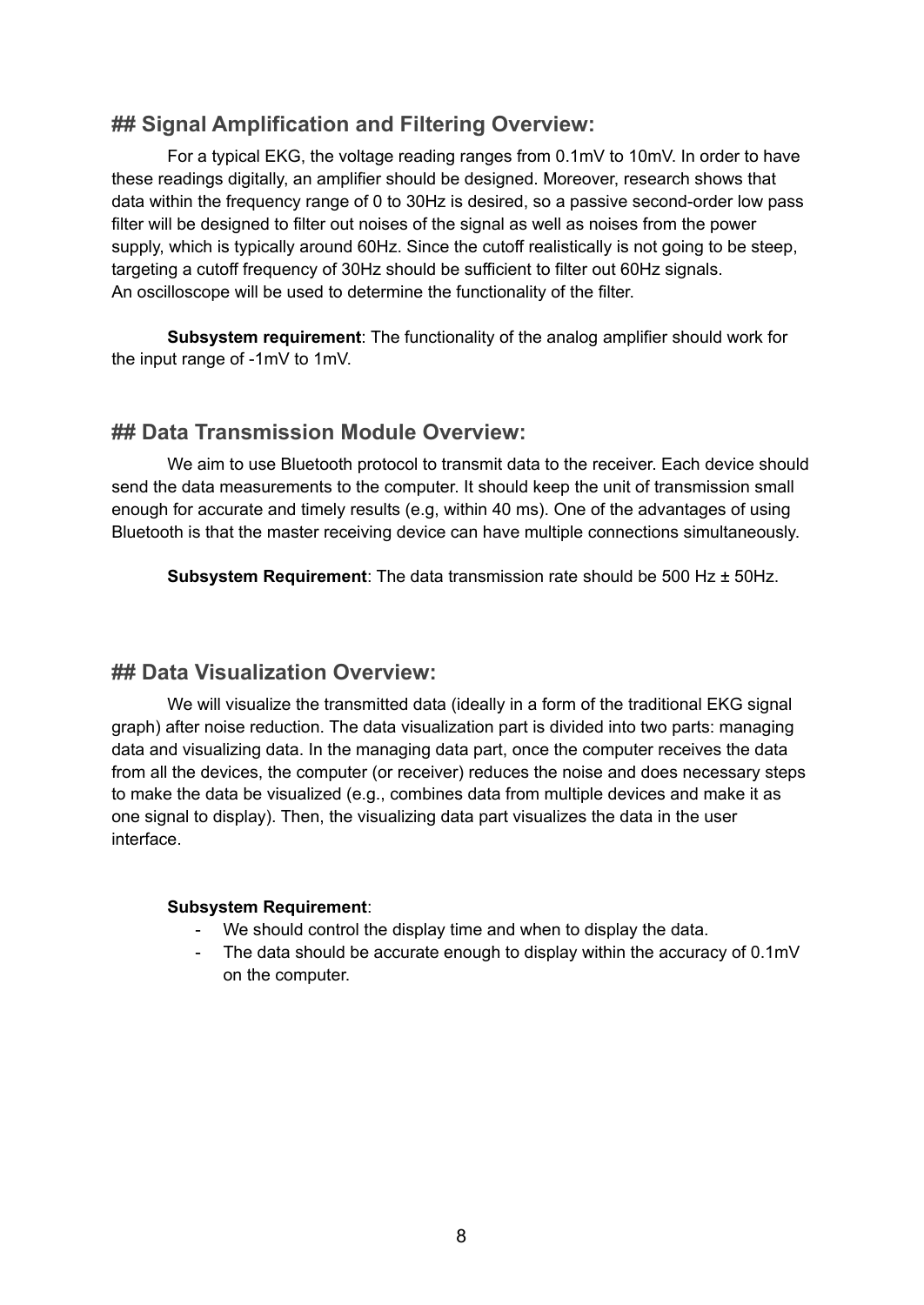#### **## Signal Amplification and Filtering Overview:**

For a typical EKG, the voltage reading ranges from 0.1mV to 10mV. In order to have these readings digitally, an amplifier should be designed. Moreover, research shows that data within the frequency range of 0 to 30Hz is desired, so a passive second-order low pass filter will be designed to filter out noises of the signal as well as noises from the power supply, which is typically around 60Hz. Since the cutoff realistically is not going to be steep, targeting a cutoff frequency of 30Hz should be sufficient to filter out 60Hz signals. An oscilloscope will be used to determine the functionality of the filter.

**Subsystem requirement**: The functionality of the analog amplifier should work for the input range of -1mV to 1mV.

#### **## Data Transmission Module Overview:**

We aim to use Bluetooth protocol to transmit data to the receiver. Each device should send the data measurements to the computer. It should keep the unit of transmission small enough for accurate and timely results (e.g, within 40 ms). One of the advantages of using Bluetooth is that the master receiving device can have multiple connections simultaneously.

**Subsystem Requirement**: The data transmission rate should be 500 Hz ± 50Hz.

#### **## Data Visualization Overview:**

We will visualize the transmitted data (ideally in a form of the traditional EKG signal graph) after noise reduction. The data visualization part is divided into two parts: managing data and visualizing data. In the managing data part, once the computer receives the data from all the devices, the computer (or receiver) reduces the noise and does necessary steps to make the data be visualized (e.g., combines data from multiple devices and make it as one signal to display). Then, the visualizing data part visualizes the data in the user interface.

#### **Subsystem Requirement**:

- We should control the display time and when to display the data.
- The data should be accurate enough to display within the accuracy of 0.1mV on the computer.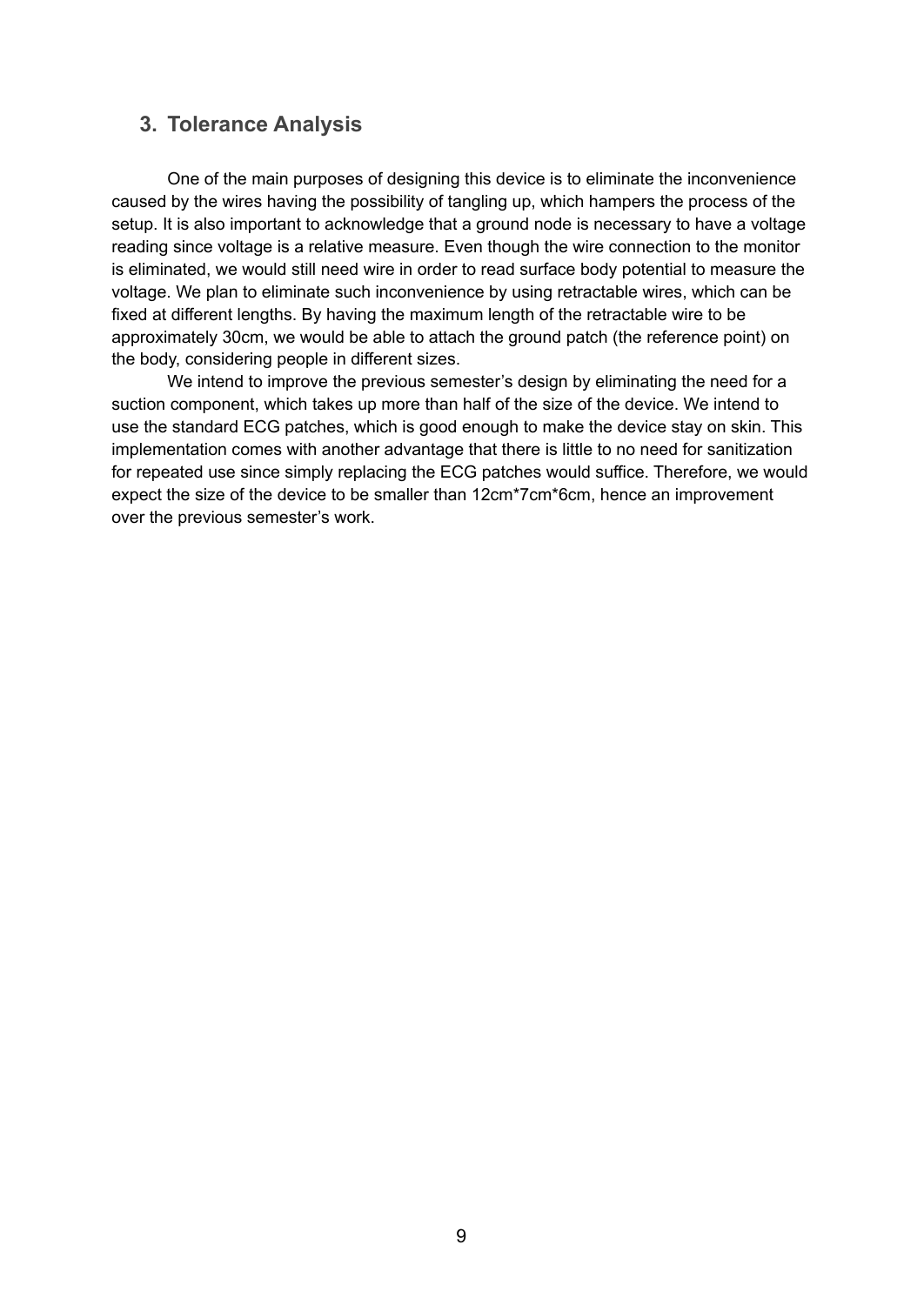#### **3. Tolerance Analysis**

One of the main purposes of designing this device is to eliminate the inconvenience caused by the wires having the possibility of tangling up, which hampers the process of the setup. It is also important to acknowledge that a ground node is necessary to have a voltage reading since voltage is a relative measure. Even though the wire connection to the monitor is eliminated, we would still need wire in order to read surface body potential to measure the voltage. We plan to eliminate such inconvenience by using retractable wires, which can be fixed at different lengths. By having the maximum length of the retractable wire to be approximately 30cm, we would be able to attach the ground patch (the reference point) on the body, considering people in different sizes.

We intend to improve the previous semester's design by eliminating the need for a suction component, which takes up more than half of the size of the device. We intend to use the standard ECG patches, which is good enough to make the device stay on skin. This implementation comes with another advantage that there is little to no need for sanitization for repeated use since simply replacing the ECG patches would suffice. Therefore, we would expect the size of the device to be smaller than 12cm\*7cm\*6cm, hence an improvement over the previous semester's work.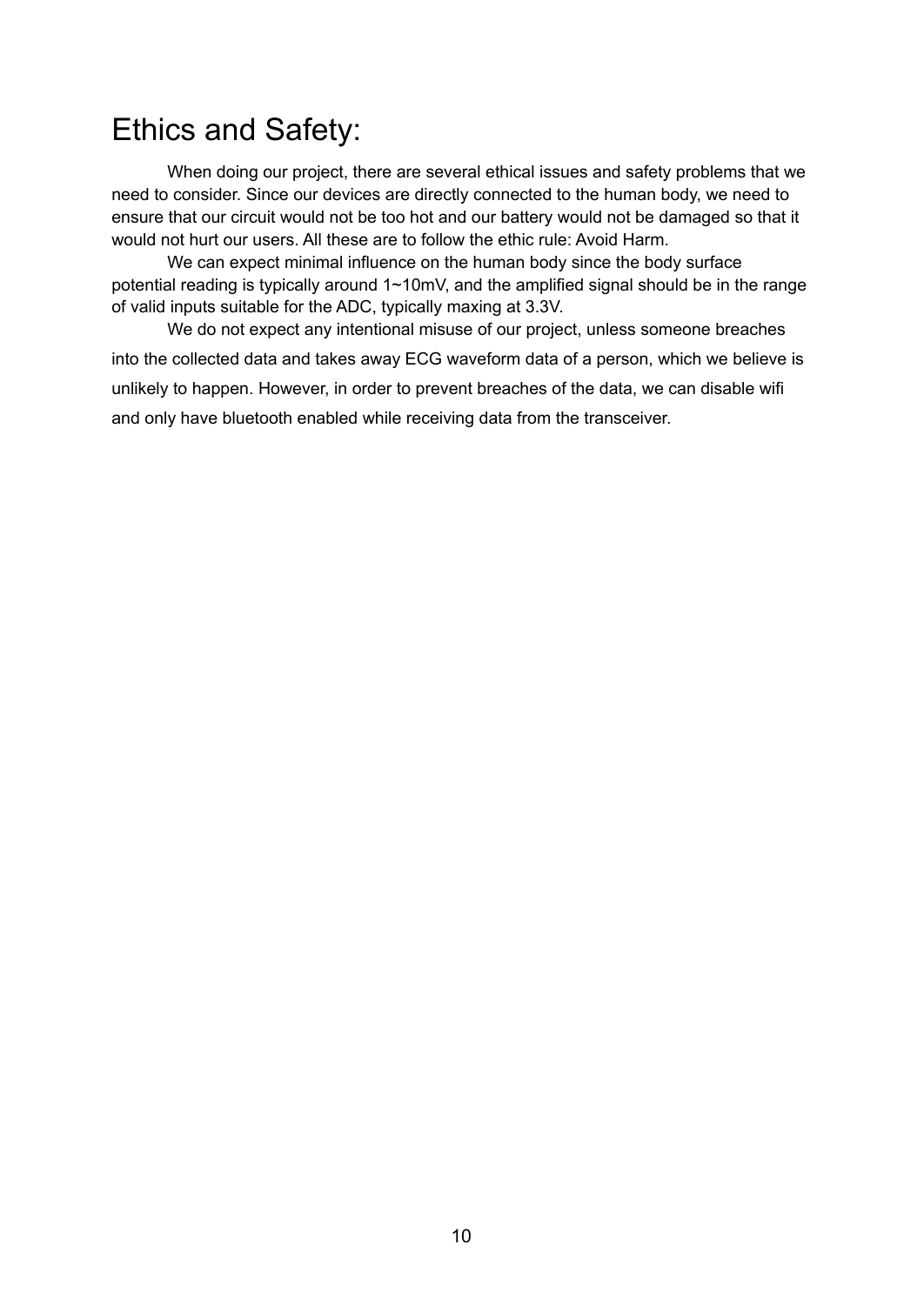## Ethics and Safety:

When doing our project, there are several ethical issues and safety problems that we need to consider. Since our devices are directly connected to the human body, we need to ensure that our circuit would not be too hot and our battery would not be damaged so that it would not hurt our users. All these are to follow the ethic rule: Avoid Harm.

We can expect minimal influence on the human body since the body surface potential reading is typically around 1~10mV, and the amplified signal should be in the range of valid inputs suitable for the ADC, typically maxing at 3.3V.

We do not expect any intentional misuse of our project, unless someone breaches into the collected data and takes away ECG waveform data of a person, which we believe is unlikely to happen. However, in order to prevent breaches of the data, we can disable wifi and only have bluetooth enabled while receiving data from the transceiver.